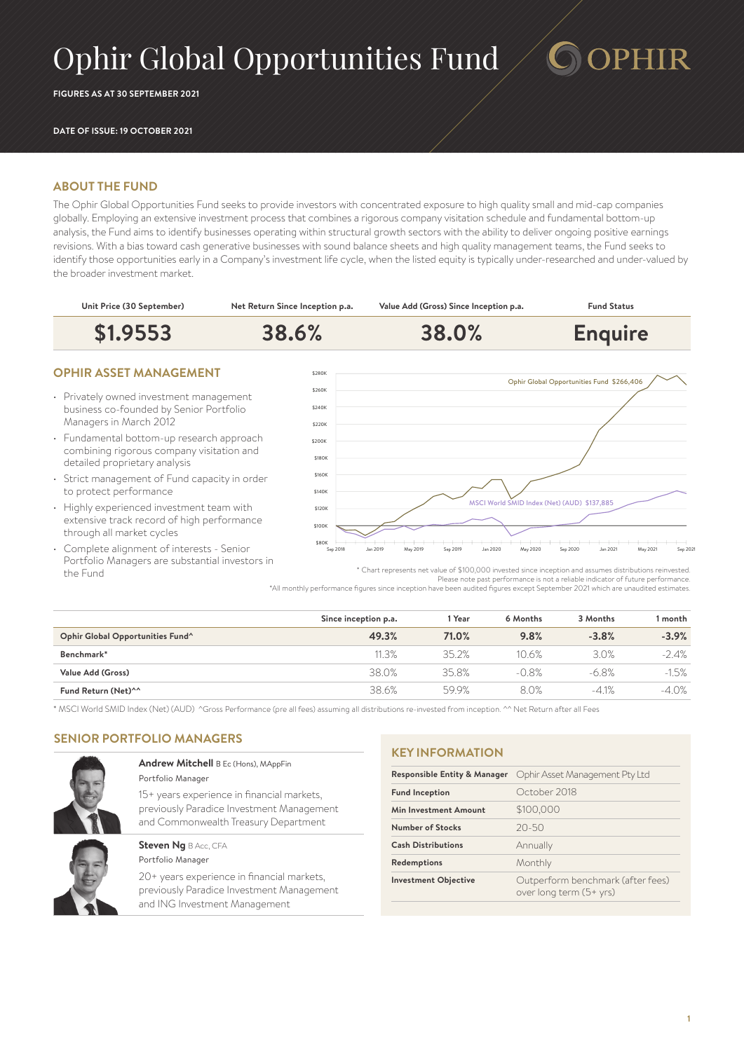# Ophir Global Opportunities Fund

**FIGURES AS AT 30 SEPTEMBER 2021**

#### **DATE OF ISSUE: 19 OCTOBER 2021**

## **ABOUT THE FUND**

The Ophir Global Opportunities Fund seeks to provide investors with concentrated exposure to high quality small and mid-cap companies globally. Employing an extensive investment process that combines a rigorous company visitation schedule and fundamental bottom-up analysis, the Fund aims to identify businesses operating within structural growth sectors with the ability to deliver ongoing positive earnings revisions. With a bias toward cash generative businesses with sound balance sheets and high quality management teams, the Fund seeks to identify those opportunities early in a Company's investment life cycle, when the listed equity is typically under-researched and under-valued by the broader investment market.



- Strict management of Fund capacity in order to protect performance
- Highly experienced investment team with extensive track record of high performance through all market cycles
- Complete alignment of interests Senior Portfolio Managers are substantial investors in the Fund



PHIR

\* Chart represents net value of \$100,000 invested since inception and assumes distributions reinvested. Please note past performance is not a reliable indicator of future performance. \*All monthly performance figures since inception have been audited figures except September 2021 which are unaudited estimates.

|                                  | Since inception p.a. | l Year | 6 Months | 3 Months | l month |
|----------------------------------|----------------------|--------|----------|----------|---------|
| Ophir Global Opportunities Fund^ | 49.3%                | 71.0%  | 9.8%     | $-3.8%$  | $-3.9%$ |
| Benchmark*                       | 11.3%                | 352%   | 10.6%    | 3.0%     | $-2.4%$ |
| Value Add (Gross)                | 38.0%                | 35.8%  | $-0.8%$  | $-6.8%$  | $-1.5%$ |
| Fund Return (Net) <sup>^^</sup>  | 38.6%                | 59.9%  | 8.0%     | $-4.1%$  | $-4.0%$ |

\* MSCI World SMID Index (Net) (AUD) ^Gross Performance (pre all fees) assuming all distributions re-invested from inception. ^^ Net Return after all Fees

# **SENIOR PORTFOLIO MANAGERS**



#### **Andrew Mitchell** B Ec (Hons), MAppFin Portfolio Manager

15+ years experience in financial markets, previously Paradice Investment Management and Commonwealth Treasury Department

### **Steven Ng BAcc, CFA** Portfolio Manager

20+ years experience in financial markets, previously Paradice Investment Management and ING Investment Management

#### **KEY INFORMATION**

| <b>Responsible Entity &amp; Manager</b> | Ophir Asset Management Pty Ltd                               |  |
|-----------------------------------------|--------------------------------------------------------------|--|
| <b>Fund Inception</b>                   | October 2018                                                 |  |
| Min Investment Amount                   | \$100,000                                                    |  |
| Number of Stocks                        | $20 - 50$                                                    |  |
| <b>Cash Distributions</b>               | Annually                                                     |  |
| Redemptions                             | Monthly                                                      |  |
| <b>Investment Objective</b>             | Outperform benchmark (after fees)<br>over long term (5+ yrs) |  |
|                                         |                                                              |  |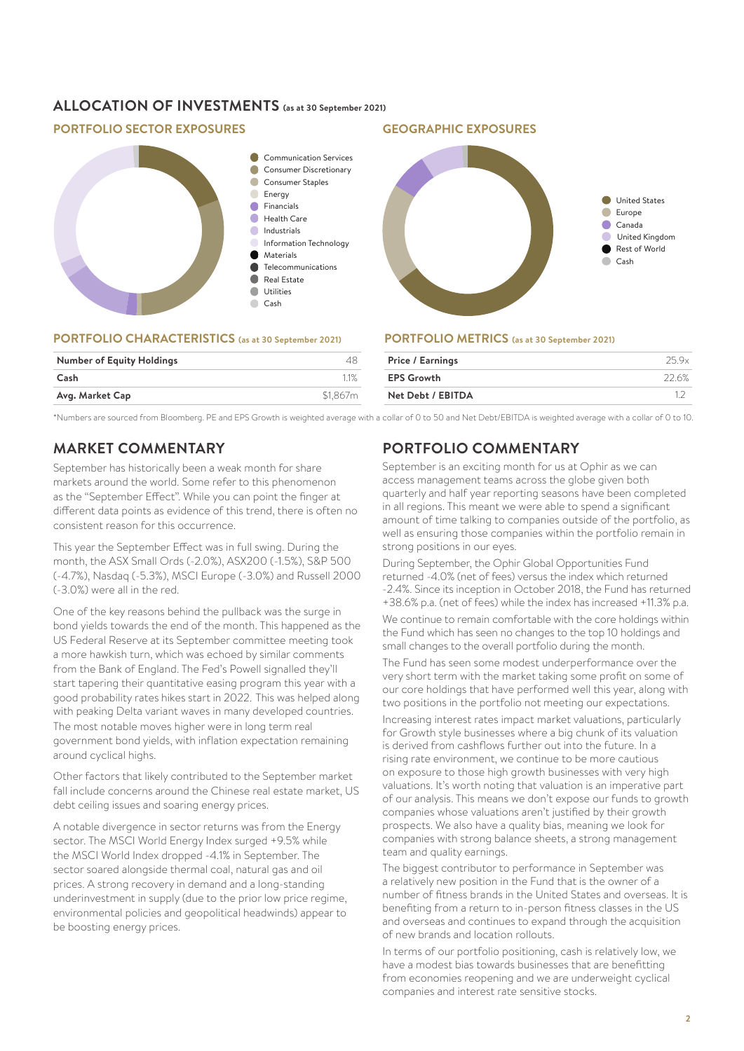# **ALLOCATION OF INVESTMENTS (as at 30 September 2021)**

# **PORTFOLIO SECTOR EXPOSURES GEOGRAPHIC EXPOSURES**



#### **PORTFOLIO CHARACTERISTICS (as at 30 September 2021)**

| <b>Number of Equity Holdings</b> |          |
|----------------------------------|----------|
| Cash                             |          |
| Avg. Market Cap                  | \$1.867m |

**PORTFOLIO METRICS (as at 30 September 2021)**

| <b>Price / Earnings</b> | 25 9x  |
|-------------------------|--------|
| <b>EPS Growth</b>       | -22.6% |
| Net Debt / EBITDA       |        |
|                         |        |

\*Numbers are sourced from Bloomberg. PE and EPS Growth is weighted average with a collar of 0 to 50 and Net Debt/EBITDA is weighted average with a collar of 0 to 10.

# **MARKET COMMENTARY**

September has historically been a weak month for share markets around the world. Some refer to this phenomenon as the "September Effect". While you can point the finger at different data points as evidence of this trend, there is often no consistent reason for this occurrence.

This year the September Effect was in full swing. During the month, the ASX Small Ords (-2.0%), ASX200 (-1.5%), S&P 500 (-4.7%), Nasdaq (-5.3%), MSCI Europe (-3.0%) and Russell 2000 (-3.0%) were all in the red.

One of the key reasons behind the pullback was the surge in bond yields towards the end of the month. This happened as the US Federal Reserve at its September committee meeting took a more hawkish turn, which was echoed by similar comments from the Bank of England. The Fed's Powell signalled they'll start tapering their quantitative easing program this year with a good probability rates hikes start in 2022. This was helped along with peaking Delta variant waves in many developed countries. The most notable moves higher were in long term real government bond yields, with inflation expectation remaining around cyclical highs.

Other factors that likely contributed to the September market fall include concerns around the Chinese real estate market, US debt ceiling issues and soaring energy prices.

A notable divergence in sector returns was from the Energy sector. The MSCI World Energy Index surged +9.5% while the MSCI World Index dropped -4.1% in September. The sector soared alongside thermal coal, natural gas and oil prices. A strong recovery in demand and a long-standing underinvestment in supply (due to the prior low price regime, environmental policies and geopolitical headwinds) appear to be boosting energy prices.

# **PORTFOLIO COMMENTARY**

September is an exciting month for us at Ophir as we can access management teams across the globe given both quarterly and half year reporting seasons have been completed in all regions. This meant we were able to spend a significant amount of time talking to companies outside of the portfolio, as well as ensuring those companies within the portfolio remain in strong positions in our eyes.

During September, the Ophir Global Opportunities Fund returned -4.0% (net of fees) versus the index which returned -2.4%. Since its inception in October 2018, the Fund has returned +38.6% p.a. (net of fees) while the index has increased +11.3% p.a.

We continue to remain comfortable with the core holdings within the Fund which has seen no changes to the top 10 holdings and small changes to the overall portfolio during the month.

The Fund has seen some modest underperformance over the very short term with the market taking some profit on some of our core holdings that have performed well this year, along with two positions in the portfolio not meeting our expectations.

Increasing interest rates impact market valuations, particularly for Growth style businesses where a big chunk of its valuation is derived from cashflows further out into the future. In a rising rate environment, we continue to be more cautious on exposure to those high growth businesses with very high valuations. It's worth noting that valuation is an imperative part of our analysis. This means we don't expose our funds to growth companies whose valuations aren't justified by their growth prospects. We also have a quality bias, meaning we look for companies with strong balance sheets, a strong management team and quality earnings.

The biggest contributor to performance in September was a relatively new position in the Fund that is the owner of a number of fitness brands in the United States and overseas. It is benefiting from a return to in-person fitness classes in the US and overseas and continues to expand through the acquisition of new brands and location rollouts.

In terms of our portfolio positioning, cash is relatively low, we have a modest bias towards businesses that are benefitting from economies reopening and we are underweight cyclical companies and interest rate sensitive stocks.